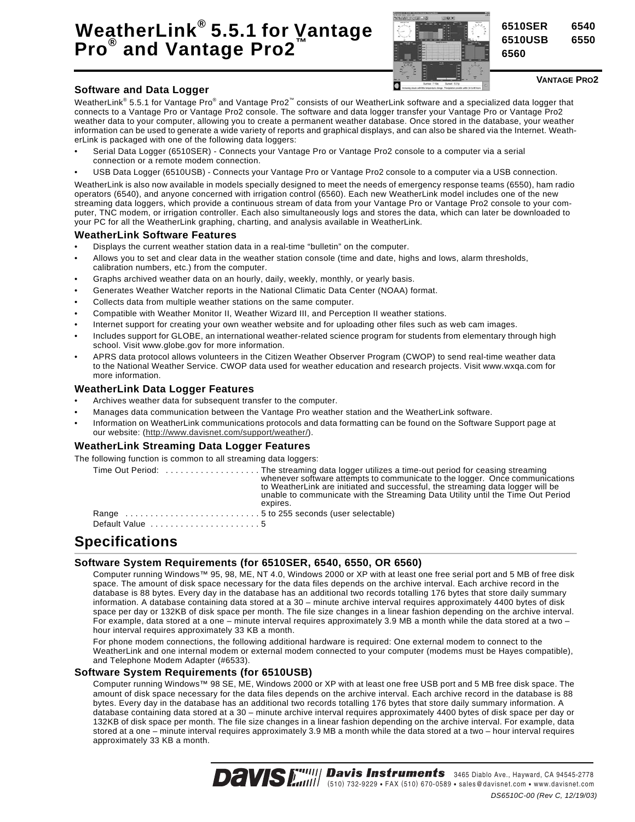# **WeatherLink® 5.5.1 for Vantage Pro® and Vantage Pro2™**



**6510SER 6540 6510USB 6550**

**6560**

#### **VANTAGE PRO2**

#### **Software and Data Logger**

WeatherLink® 5.5.1 for Vantage Pro® and Vantage Pro2™ consists of our WeatherLink software and a specialized data logger that connects to a Vantage Pro or Vantage Pro2 console. The software and data logger transfer your Vantage Pro or Vantage Pro2 weather data to your computer, allowing you to create a permanent weather database. Once stored in the database, your weather information can be used to generate a wide variety of reports and graphical displays, and can also be shared via the Internet. WeatherLink is packaged with one of the following data loggers:

- Serial Data Logger (6510SER) Connects your Vantage Pro or Vantage Pro2 console to a computer via a serial connection or a remote modem connection.
- USB Data Logger (6510USB) Connects your Vantage Pro or Vantage Pro2 console to a computer via a USB connection.

WeatherLink is also now available in models specially designed to meet the needs of emergency response teams (6550), ham radio operators (6540), and anyone concerned with irrigation control (6560). Each new WeatherLink model includes one of the new streaming data loggers, which provide a continuous stream of data from your Vantage Pro or Vantage Pro2 console to your computer, TNC modem, or irrigation controller. Each also simultaneously logs and stores the data, which can later be downloaded to your PC for all the WeatherLink graphing, charting, and analysis available in WeatherLink.

#### **WeatherLink Software Features**

- Displays the current weather station data in a real-time "bulletin" on the computer.
- Allows you to set and clear data in the weather station console (time and date, highs and lows, alarm thresholds, calibration numbers, etc.) from the computer.
- Graphs archived weather data on an hourly, daily, weekly, monthly, or yearly basis.
- Generates Weather Watcher reports in the National Climatic Data Center (NOAA) format.
- Collects data from multiple weather stations on the same computer.
- Compatible with Weather Monitor II, Weather Wizard III, and Perception II weather stations.
- Internet support for creating your own weather website and for uploading other files such as web cam images.
- Includes support for GLOBE, an international weather-related science program for students from elementary through high school. Visit www.globe.gov for more information.
- APRS data protocol allows volunteers in the Citizen Weather Observer Program (CWOP) to send real-time weather data to the National Weather Service. CWOP data used for weather education and research projects. Visit www.wxqa.com for more information.

#### **WeatherLink Data Logger Features**

- Archives weather data for subsequent transfer to the computer.
- Manages data communication between the Vantage Pro weather station and the WeatherLink software.
- Information on WeatherLink communications protocols and data formatting can be found on the Software Support page at our website: (http://www.davisnet.com/support/weather/).

#### **WeatherLink Streaming Data Logger Features**

The following function is common to all streaming data loggers:

|                                                             | whenever software attempts to communicate to the logger. Once communications<br>to WeatherLink are initiated and successful, the streaming data logger will be<br>unable to communicate with the Streaming Data Utility until the Time Out Period<br>expires. |
|-------------------------------------------------------------|---------------------------------------------------------------------------------------------------------------------------------------------------------------------------------------------------------------------------------------------------------------|
| Range 5 to 255 seconds (user selectable)                    |                                                                                                                                                                                                                                                               |
| Default Value $\ldots \ldots \ldots \ldots \ldots \ldots 5$ |                                                                                                                                                                                                                                                               |

# **Specifications**

### **Software System Requirements (for 6510SER, 6540, 6550, OR 6560)**

Computer running Windows™ 95, 98, ME, NT 4.0, Windows 2000 or XP with at least one free serial port and 5 MB of free disk space. The amount of disk space necessary for the data files depends on the archive interval. Each archive record in the database is 88 bytes. Every day in the database has an additional two records totalling 176 bytes that store daily summary information. A database containing data stored at a 30 – minute archive interval requires approximately 4400 bytes of disk space per day or 132KB of disk space per month. The file size changes in a linear fashion depending on the archive interval. For example, data stored at a one – minute interval requires approximately 3.9 MB a month while the data stored at a two – hour interval requires approximately 33 KB a month.

For phone modem connections, the following additional hardware is required: One external modem to connect to the WeatherLink and one internal modem or external modem connected to your computer (modems must be Hayes compatible), and Telephone Modem Adapter (#6533).

#### **Software System Requirements (for 6510USB)**

Computer running Windows™ 98 SE, ME, Windows 2000 or XP with at least one free USB port and 5 MB free disk space. The amount of disk space necessary for the data files depends on the archive interval. Each archive record in the database is 88 bytes. Every day in the database has an additional two records totalling 176 bytes that store daily summary information. A database containing data stored at a 30 – minute archive interval requires approximately 4400 bytes of disk space per day or 132KB of disk space per month. The file size changes in a linear fashion depending on the archive interval. For example, data stored at a one – minute interval requires approximately 3.9 MB a month while the data stored at a two – hour interval requires approximately 33 KB a month.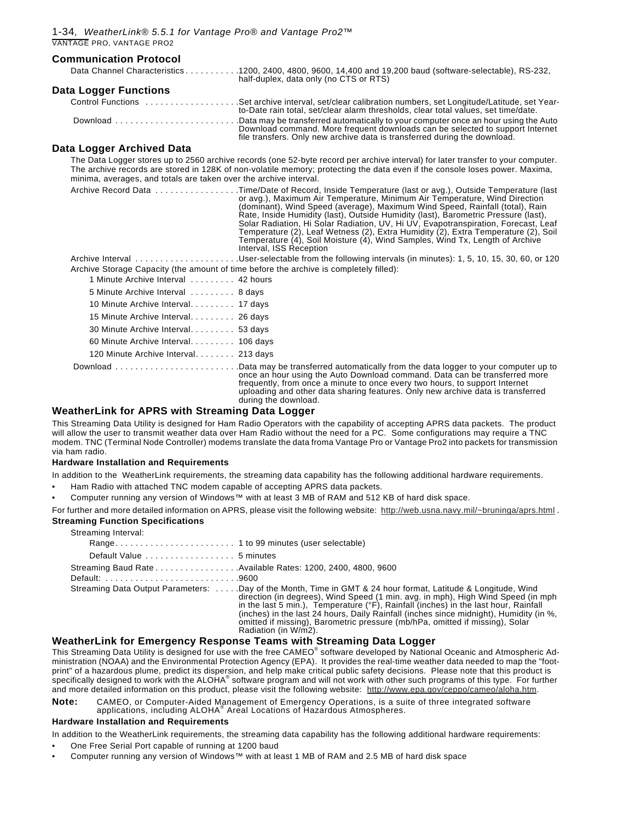| <b>Communication Protocol</b>                                                          |                                                                                                                                                                                                                                                                                                                                                                                                                                                                                                                                                                                                                                                  |
|----------------------------------------------------------------------------------------|--------------------------------------------------------------------------------------------------------------------------------------------------------------------------------------------------------------------------------------------------------------------------------------------------------------------------------------------------------------------------------------------------------------------------------------------------------------------------------------------------------------------------------------------------------------------------------------------------------------------------------------------------|
|                                                                                        | Data Channel Characteristics 1200, 2400, 4800, 9600, 14,400 and 19,200 baud (software-selectable), RS-232,<br>half-duplex, data only (no CTS or RTS)                                                                                                                                                                                                                                                                                                                                                                                                                                                                                             |
| <b>Data Logger Functions</b>                                                           |                                                                                                                                                                                                                                                                                                                                                                                                                                                                                                                                                                                                                                                  |
|                                                                                        | to-Date rain total, set/clear alarm thresholds, clear total values, set time/date.                                                                                                                                                                                                                                                                                                                                                                                                                                                                                                                                                               |
|                                                                                        | Download Data may be transferred automatically to your computer once an hour using the Auto<br>Download command. More frequent downloads can be selected to support Internet<br>file transfers. Only new archive data is transferred during the download.                                                                                                                                                                                                                                                                                                                                                                                        |
| Data Logger Archived Data                                                              |                                                                                                                                                                                                                                                                                                                                                                                                                                                                                                                                                                                                                                                  |
| minima, averages, and totals are taken over the archive interval.                      | The Data Logger stores up to 2560 archive records (one 52-byte record per archive interval) for later transfer to your computer.<br>The archive records are stored in 128K of non-volatile memory; protecting the data even if the console loses power. Maxima,                                                                                                                                                                                                                                                                                                                                                                                  |
|                                                                                        | Archive Record Data Time/Date of Record, Inside Temperature (last or avg.), Outside Temperature (last<br>or avg.), Maximum Air Temperature, Minimum Air Temperature, Wind Direction<br>(dominant), Wind Speed (average), Maximum Wind Speed, Rainfall (total), Rain<br>Rate, Inside Humidity (last), Outside Humidity (last), Barometric Pressure (last),<br>Solar Radiation, Hi Solar Radiation, UV, Hi UV, Evapotranspiration, Forecast, Leaf<br>Temperature (2), Leaf Wetness (2), Extra Humidity (2), Extra Temperature (2), Soil<br>Temperature (4), Soil Moisture (4), Wind Samples, Wind Tx, Length of Archive<br>Interval, ISS Reception |
|                                                                                        | Archive Interval User-selectable from the following intervals (in minutes): 1, 5, 10, 15, 30, 60, or 120                                                                                                                                                                                                                                                                                                                                                                                                                                                                                                                                         |
| Archive Storage Capacity (the amount of time before the archive is completely filled): |                                                                                                                                                                                                                                                                                                                                                                                                                                                                                                                                                                                                                                                  |
| 1 Minute Archive Interval  42 hours                                                    |                                                                                                                                                                                                                                                                                                                                                                                                                                                                                                                                                                                                                                                  |
| 5 Minute Archive Interval  8 days                                                      |                                                                                                                                                                                                                                                                                                                                                                                                                                                                                                                                                                                                                                                  |
| 10 Minute Archive Interval. 17 days                                                    |                                                                                                                                                                                                                                                                                                                                                                                                                                                                                                                                                                                                                                                  |
| 15 Minute Archive Interval. 26 days                                                    |                                                                                                                                                                                                                                                                                                                                                                                                                                                                                                                                                                                                                                                  |
| 30 Minute Archive Interval. 53 days                                                    |                                                                                                                                                                                                                                                                                                                                                                                                                                                                                                                                                                                                                                                  |
| 60 Minute Archive Interval. 106 days                                                   |                                                                                                                                                                                                                                                                                                                                                                                                                                                                                                                                                                                                                                                  |
| 120 Minute Archive Interval. 213 days                                                  |                                                                                                                                                                                                                                                                                                                                                                                                                                                                                                                                                                                                                                                  |
|                                                                                        | once an hour using the Auto Download command. Data can be transferred more<br>frequently, from once a minute to once every two hours, to support Internet<br>uploading and other data sharing features. Only new archive data is transferred<br>during the download.                                                                                                                                                                                                                                                                                                                                                                             |

#### **WeatherLink for APRS with Streaming Data Logger**

This Streaming Data Utility is designed for Ham Radio Operators with the capability of accepting APRS data packets. The product will allow the user to transmit weather data over Ham Radio without the need for a PC. Some configurations may require a TNC modem. TNC (Terminal Node Controller) modems translate the data froma Vantage Pro or Vantage Pro2 into packets for transmission via ham radio.

#### **Hardware Installation and Requirements**

- In addition to the WeatherLink requirements, the streaming data capability has the following additional hardware requirements.
- Ham Radio with attached TNC modem capable of accepting APRS data packets.
- Computer running any version of Windows™ with at least 3 MB of RAM and 512 KB of hard disk space.

For further and more detailed information on APRS, please visit the following website: http://web.usna.navy.mil/~bruninga/aprs.html . **Streaming Function Specifications**

| Streaming Interval:                                         |                                                                                                                                                                                                                                                                                                                                                                                                                                                                                            |
|-------------------------------------------------------------|--------------------------------------------------------------------------------------------------------------------------------------------------------------------------------------------------------------------------------------------------------------------------------------------------------------------------------------------------------------------------------------------------------------------------------------------------------------------------------------------|
|                                                             |                                                                                                                                                                                                                                                                                                                                                                                                                                                                                            |
| Default Value 5 minutes                                     |                                                                                                                                                                                                                                                                                                                                                                                                                                                                                            |
| Streaming Baud Rate Available Rates: 1200, 2400, 4800, 9600 |                                                                                                                                                                                                                                                                                                                                                                                                                                                                                            |
| Default: 9600                                               |                                                                                                                                                                                                                                                                                                                                                                                                                                                                                            |
|                                                             | Streaming Data Output Parameters: Day of the Month, Time in GMT & 24 hour format, Latitude & Longitude, Wind<br>direction (in degrees), Wind Speed (1 min. avg. in mph), High Wind Speed (in mph)<br>in the last 5 min.), Temperature (°F), Rainfall (inches) in the last hour, Rainfall<br>(inches) in the last 24 hours, Daily Rainfall (inches since midnight), Humidity (in %,<br>omitted if missing), Barometric pressure (mb/hPa, omitted if missing), Solar<br>Radiation (in W/m2). |

#### **WeatherLink for Emergency Response Teams with Streaming Data Logger**

This Streaming Data Utility is designed for use with the free CAMEO® software developed by National Oceanic and Atmospheric Administration (NOAA) and the Environmental Protection Agency (EPA). It provides the real-time weather data needed to map the "footprint" of a hazardous plume, predict its dispersion, and help make critical public safety decisions. Please note that this product is specifically designed to work with the ALOHA® software program and will not work with other such programs of this type. For further and more detailed information on this product, please visit the following website: http://www.epa.gov/ceppo/cameo/aloha.htm.

**Note:** CAMEO, or Computer-Aided Management of Emergency Operations, is a suite of three integrated software applications, including ALOHA® Areal Locations of Hazardous Atmospheres.

#### **Hardware Installation and Requirements**

In addition to the WeatherLink requirements, the streaming data capability has the following additional hardware requirements:

- One Free Serial Port capable of running at 1200 baud
- Computer running any version of Windows™ with at least 1 MB of RAM and 2.5 MB of hard disk space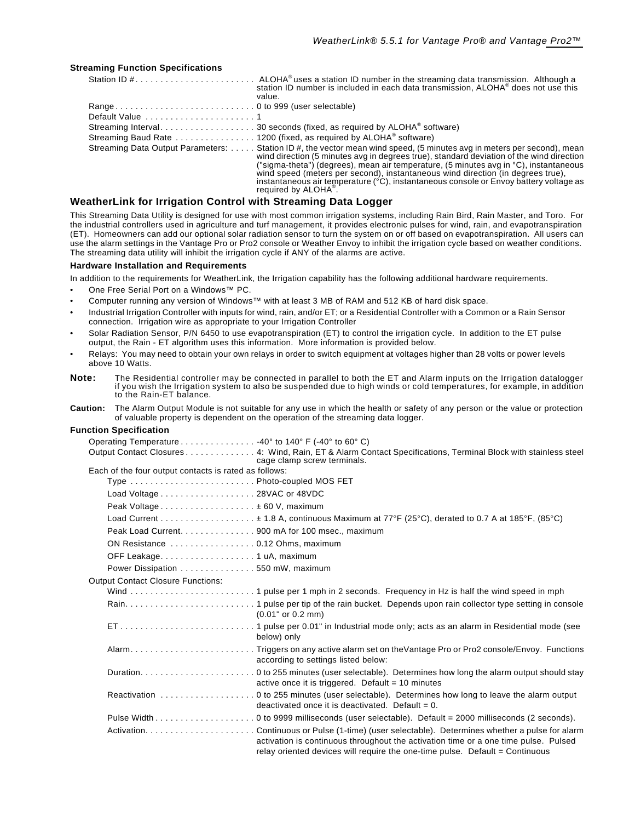#### **Streaming Function Specifications**

|                                                                 | station ID number is included in each data transmission, ALOHA <sup>®</sup> does not use this<br>value.                                                                                                                                                                                                                                                                                                                                                                                                                      |  |
|-----------------------------------------------------------------|------------------------------------------------------------------------------------------------------------------------------------------------------------------------------------------------------------------------------------------------------------------------------------------------------------------------------------------------------------------------------------------------------------------------------------------------------------------------------------------------------------------------------|--|
|                                                                 |                                                                                                                                                                                                                                                                                                                                                                                                                                                                                                                              |  |
|                                                                 |                                                                                                                                                                                                                                                                                                                                                                                                                                                                                                                              |  |
|                                                                 |                                                                                                                                                                                                                                                                                                                                                                                                                                                                                                                              |  |
|                                                                 |                                                                                                                                                                                                                                                                                                                                                                                                                                                                                                                              |  |
|                                                                 | Streaming Data Output Parameters:  Station ID #, the vector mean wind speed, (5 minutes avg in meters per second), mean<br>wind direction (5 minutes avg in degrees true), standard deviation of the wind direction<br>("sigma-theta") (degrees), mean air temperature, (5 minutes avg in °C), instantaneous<br>wind speed (meters per second), instantaneous wind direction (in degrees true),<br>instantaneous air temperature (°C), instantaneous console or Envoy battery voltage as<br>required by ALOHA <sup>®</sup> . |  |
| iathaid indi fan Indiantian Cantral with Ctraaminar Data Lannar |                                                                                                                                                                                                                                                                                                                                                                                                                                                                                                                              |  |

#### **WeatherLink for Irrigation Control with Streaming Data Logger**

This Streaming Data Utility is designed for use with most common irrigation systems, including Rain Bird, Rain Master, and Toro. For the industrial controllers used in agriculture and turf management, it provides electronic pulses for wind, rain, and evapotranspiration (ET). Homeowners can add our optional solar radiation sensor to turn the system on or off based on evapotranspiration. All users can use the alarm settings in the Vantage Pro or Pro2 console or Weather Envoy to inhibit the irrigation cycle based on weather conditions. The streaming data utility will inhibit the irrigation cycle if ANY of the alarms are active.

#### **Hardware Installation and Requirements**

In addition to the requirements for WeatherLink, the Irrigation capability has the following additional hardware requirements.

- One Free Serial Port on a Windows™ PC.
- Computer running any version of Windows™ with at least 3 MB of RAM and 512 KB of hard disk space.
- Industrial Irrigation Controller with inputs for wind, rain, and/or ET; or a Residential Controller with a Common or a Rain Sensor connection. Irrigation wire as appropriate to your Irrigation Controller
- Solar Radiation Sensor, P/N 6450 to use evapotranspiration (ET) to control the irrigation cycle. In addition to the ET pulse output, the Rain - ET algorithm uses this information. More information is provided below.
- Relays: You may need to obtain your own relays in order to switch equipment at voltages higher than 28 volts or power levels above 10 Watts.
- **Note:** The Residential controller may be connected in parallel to both the ET and Alarm inputs on the Irrigation datalogger if you wish the Irrigation system to also be suspended due to high winds or cold temperatures, for example, in addition to the Rain-ET balance.
- **Caution:** The Alarm Output Module is not suitable for any use in which the health or safety of any person or the value or protection of valuable property is dependent on the operation of the streaming data logger.

#### **Function Specification**

| Operating Temperature 40° to 140° F (-40° to 60° C)   |                                                                                                                                                                     |
|-------------------------------------------------------|---------------------------------------------------------------------------------------------------------------------------------------------------------------------|
|                                                       | Output Contact Closures4: Wind, Rain, ET & Alarm Contact Specifications, Terminal Block with stainless steel<br>cage clamp screw terminals.                         |
| Each of the four output contacts is rated as follows: |                                                                                                                                                                     |
| Type  Photo-coupled MOS FET                           |                                                                                                                                                                     |
| Load Voltage 28VAC or 48VDC                           |                                                                                                                                                                     |
| Peak Voltage ± 60 V, maximum                          |                                                                                                                                                                     |
|                                                       |                                                                                                                                                                     |
| Peak Load Current. 900 mA for 100 msec., maximum      |                                                                                                                                                                     |
| ON Resistance  0.12 Ohms, maximum                     |                                                                                                                                                                     |
| OFF Leakage. 1 uA, maximum                            |                                                                                                                                                                     |
| Power Dissipation 550 mW, maximum                     |                                                                                                                                                                     |
| <b>Output Contact Closure Functions:</b>              |                                                                                                                                                                     |
|                                                       |                                                                                                                                                                     |
|                                                       | $(0.01"$ or $0.2$ mm)                                                                                                                                               |
|                                                       | below) only                                                                                                                                                         |
|                                                       | according to settings listed below:                                                                                                                                 |
|                                                       | active once it is triggered. Default $=$ 10 minutes                                                                                                                 |
|                                                       | deactivated once it is deactivated. Default = $0$ .                                                                                                                 |
|                                                       |                                                                                                                                                                     |
|                                                       | activation is continuous throughout the activation time or a one time pulse. Pulsed<br>relay oriented devices will require the one-time pulse. Default = Continuous |